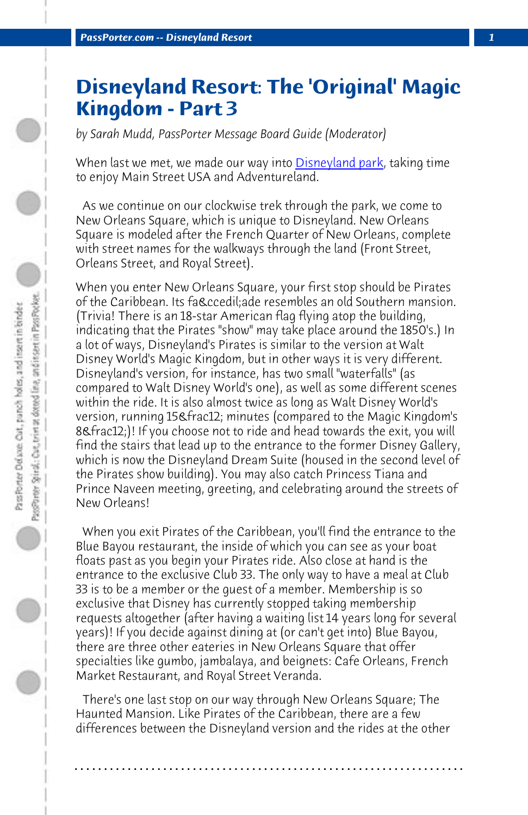**PassPorter.com -- Disneyland Resort** 

## **Disneyland Resort: The 'Original' Magic Kingdom - Part 3**

*by Sarah Mudd, PassPorter Message Board Guide (Moderator)*

When last we met, we made our way into **Disneyland park**, taking time to enjoy Main Street USA and Adventureland.

 As we continue on our clockwise trek through the park, we come to New Orleans Square, which is unique to Disneyland. New Orleans Square is modeled after the French Quarter of New Orleans, complete with street names for the walkways through the land (Front Street, Orleans Street, and Royal Street).

When you enter New Orleans Square, your first stop should be Pirates of the Caribbean. Its façade resembles an old Southern mansion. (Trivia! There is an 18-star American flag flying atop the building, indicating that the Pirates "show" may take place around the 1850's.) In a lot of ways, Disneyland's Pirates is similar to the version at Walt Disney World's Magic Kingdom, but in other ways it is very different. Disneyland's version, for instance, has two small "waterfalls" (as compared to Walt Disney World's one), as well as some different scenes within the ride. It is also almost twice as long as Walt Disney World's version, running 15½ minutes (compared to the Magic Kingdom's 8½)! If you choose not to ride and head towards the exit, you will find the stairs that lead up to the entrance to the former Disney Gallery, which is now the Disneyland Dream Suite (housed in the second level of the Pirates show building). You may also catch Princess Tiana and Prince Naveen meeting, greeting, and celebrating around the streets of New Orleans!

 When you exit Pirates of the Caribbean, you'll find the entrance to the Blue Bayou restaurant, the inside of which you can see as your boat floats past as you begin your Pirates ride. Also close at hand is the entrance to the exclusive Club 33. The only way to have a meal at Club 33 is to be a member or the guest of a member. Membership is so exclusive that Disney has currently stopped taking membership requests altogether (after having a waiting list 14 years long for several years)! If you decide against dining at (or can't get into) Blue Bayou, there are three other eateries in New Orleans Square that offer specialties like gumbo, jambalaya, and beignets: Cafe Orleans, French Market Restaurant, and Royal Street Veranda.

 There's one last stop on our way through New Orleans Square; The Haunted Mansion. Like Pirates of the Caribbean, there are a few differences between the Disneyland version and the rides at the other

**. . . . . . . . . . . . . . . . . . . . . . . . . . . . . . . . . . . . . . . . . . . . . . . . . . . . . . . . . . . . . . . . . .**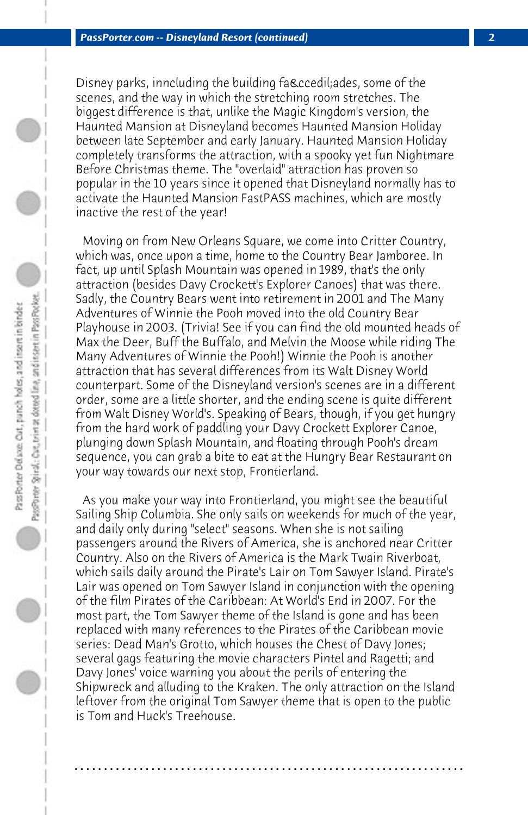Disney parks, inncluding the building faç ades, some of the scenes, and the way in which the stretching room stretches. The biggest difference is that, unlike the Magic Kingdom's version, the Haunted Mansion at Disneyland becomes Haunted Mansion Holiday between late September and early January. Haunted Mansion Holiday completely transforms the attraction, with a spooky yet fun Nightmare Before Christmas theme. The "overlaid" attraction has proven so popular in the 10 years since it opened that Disneyland normally has to activate the Haunted Mansion FastPASS machines, which are mostly inactive the rest of the year!

 Moving on from New Orleans Square, we come into Critter Country, which was, once upon a time, home to the Country Bear Jamboree. In fact, up until Splash Mountain was opened in 1989, that's the only attraction (besides Davy Crockett's Explorer Canoes) that was there. Sadly, the Country Bears went into retirement in 2001 and The Many Adventures of Winnie the Pooh moved into the old Country Bear Playhouse in 2003. (Trivia! See if you can find the old mounted heads of Max the Deer, Buff the Buffalo, and Melvin the Moose while riding The Many Adventures of Winnie the Pooh!) Winnie the Pooh is another attraction that has several differences from its Walt Disney World counterpart. Some of the Disneyland version's scenes are in a different order, some are a little shorter, and the ending scene is quite different from Walt Disney World's. Speaking of Bears, though, if you get hungry from the hard work of paddling your Davy Crockett Explorer Canoe, plunging down Splash Mountain, and floating through Pooh's dream sequence, you can grab a bite to eat at the Hungry Bear Restaurant on your way towards our next stop, Frontierland.

 As you make your way into Frontierland, you might see the beautiful Sailing Ship Columbia. She only sails on weekends for much of the year, and daily only during "select" seasons. When she is not sailing passengers around the Rivers of America, she is anchored near Critter Country. Also on the Rivers of America is the Mark Twain Riverboat, which sails daily around the Pirate's Lair on Tom Sawyer Island. Pirate's Lair was opened on Tom Sawyer Island in conjunction with the opening of the film Pirates of the Caribbean: At World's End in 2007. For the most part, the Tom Sawyer theme of the Island is gone and has been replaced with many references to the Pirates of the Caribbean movie series: Dead Man's Grotto, which houses the Chest of Davy Jones; several gags featuring the movie characters Pintel and Ragetti; and Davy Jones' voice warning you about the perils of entering the Shipwreck and alluding to the Kraken. The only attraction on the Island leftover from the original Tom Sawyer theme that is open to the public is Tom and Huck's Treehouse.

**. . . . . . . . . . . . . . . . . . . . . . . . . . . . . . . . . . . . . . . . . . . . . . . . . . . . . . . . . . . . . . . . . .**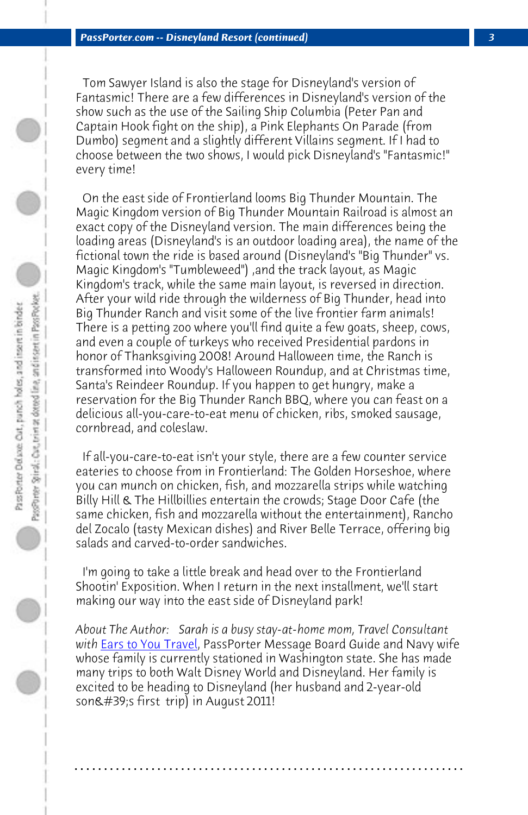*PassPorter.com -- Disneyland Resort (continued) 3*

 Tom Sawyer Island is also the stage for Disneyland's version of Fantasmic! There are a few differences in Disneyland's version of the show such as the use of the Sailing Ship Columbia (Peter Pan and Captain Hook fight on the ship), a Pink Elephants On Parade (from Dumbo) segment and a slightly different Villains segment. If I had to choose between the two shows, I would pick Disneyland's "Fantasmic!" every time!

 On the east side of Frontierland looms Big Thunder Mountain. The Magic Kingdom version of Big Thunder Mountain Railroad is almost an exact copy of the Disneyland version. The main differences being the loading areas (Disneyland's is an outdoor loading area), the name of the fictional town the ride is based around (Disneyland's "Big Thunder" vs. Magic Kingdom's "Tumbleweed") ,and the track layout, as Magic Kingdom's track, while the same main layout, is reversed in direction. After your wild ride through the wilderness of Big Thunder, head into Big Thunder Ranch and visit some of the live frontier farm animals! There is a petting zoo where you'll find quite a few goats, sheep, cows, and even a couple of turkeys who received Presidential pardons in honor of Thanksgiving 2008! Around Halloween time, the Ranch is transformed into Woody's Halloween Roundup, and at Christmas time, Santa's Reindeer Roundup. If you happen to get hungry, make a rese[rvation for the Big](http://www.earstoyoutravel.com/) Thunder Ranch BBQ, where you can feast on a delicious all-you-care-to-eat menu of chicken, ribs, smoked sausage, cornbread, and coleslaw.

 If all-you-care-to-eat isn't your style, there are a few counter service eateries to choose from in Frontierland: The Golden Horseshoe, where you can munch on chicken, fish, and mozzarella strips while watching Billy Hill & The Hillbillies entertain the crowds; Stage Door Cafe (the same chicken, fish and mozzarella without the entertainment), Rancho del Zocalo (tasty Mexican dishes) and River Belle Terrace, offering big salads and carved-to-order sandwiches.

 I'm going to take a little break and head over to the Frontierland Shootin' Exposition. When I return in the next installment, we'll start making our way into the east side of Disneyland park!

*About The Author: Sarah is a busy stay-at-home mom, Travel Consultant with* Ears to You Travel, PassPorter Message Board Guide and Navy wife whose family is currently stationed in Washington state. She has made many trips to both Walt Disney World and Disneyland. Her family is excited to be heading to Disneyland (her husband and 2-year-old son $\&\#39$ ; first trip) in August 2011!

**. . . . . . . . . . . . . . . . . . . . . . . . . . . . . . . . . . . . . . . . . . . . . . . . . . . . . . . . . . . . . . . . . .**